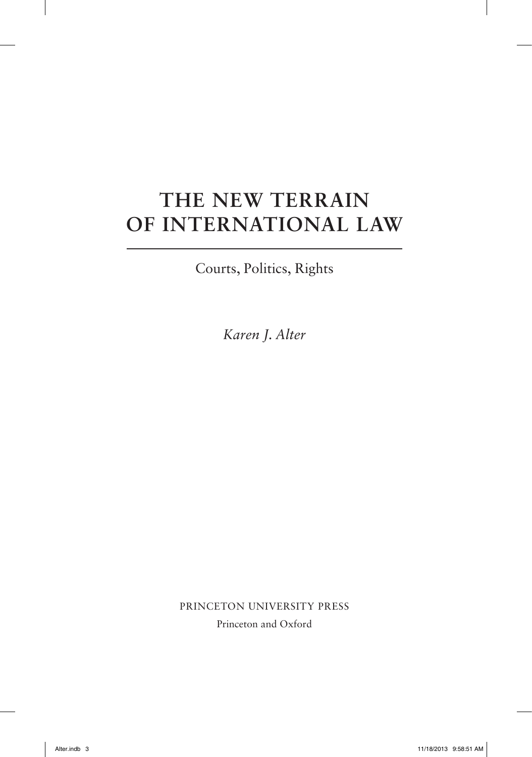# **THE NEW TERRAIN OF INTERNATIONAL LAW**

Courts, Politics, Rights

*Karen J. Alter*

PRINCETON UNIVERSITY PRESS Princeton and Oxford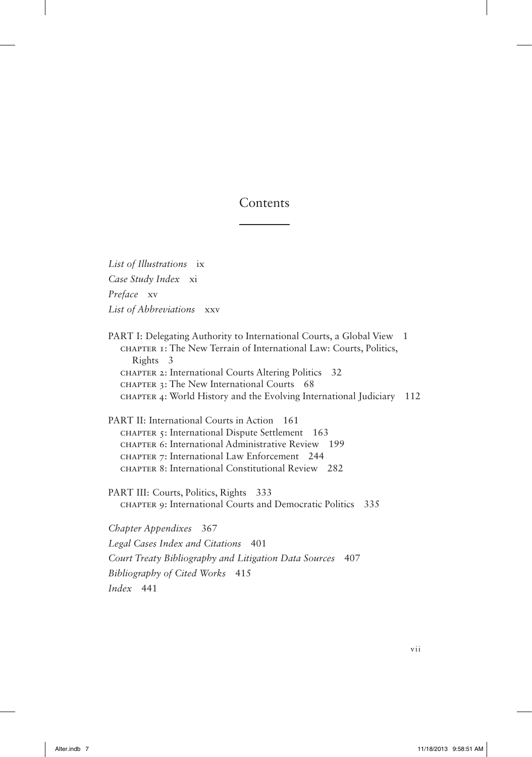## Contents

*List of Illustrations* ix *Case Study Index* xi *Preface* xv *List of Abbreviations* xxv

PART I: Delegating Authority to International Courts, a Global View 1 CHAPTER 1: The New Terrain of International Law: Courts, Politics, Rights 3 CHAPTER 2: International Courts Altering Politics 32 CHAPTER 3: The New International Courts 68 CHAPTER 4: World History and the Evolving International Judiciary 112

PART II: International Courts in Action 161 CHAPTER 5: International Dispute Settlement 163 CHAPTER 6: International Administrative Review 199 Chapter 7: International Law Enforcement 244 Chapter 8: International Constitutional Review 282

PART III: Courts, Politics, Rights 333 CHAPTER 9: International Courts and Democratic Politics 335

*Chapter Appendixes* 367 *Legal Cases Index and Citations* 401 *Court Treaty Bibliography and Litigation Data Sources* 407 *Bibliography of Cited Works* 415 *Index* 441

vii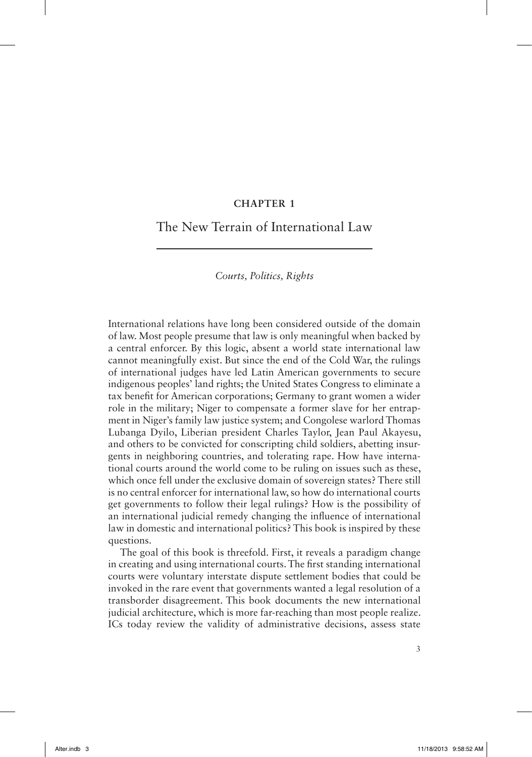## **CHAPTER 1**

# The New Terrain of International Law

#### *Courts, Politics, Rights*

International relations have long been considered outside of the domain of law. Most people presume that law is only meaningful when backed by a central enforcer. By this logic, absent a world state international law cannot meaningfully exist. But since the end of the Cold War, the rulings of international judges have led Latin American governments to secure indigenous peoples' land rights; the United States Congress to eliminate a tax benefit for American corporations; Germany to grant women a wider role in the military; Niger to compensate a former slave for her entrapment in Niger's family law justice system; and Congolese warlord Thomas Lubanga Dyilo, Liberian president Charles Taylor, Jean Paul Akayesu, and others to be convicted for conscripting child soldiers, abetting insurgents in neighboring countries, and tolerating rape. How have international courts around the world come to be ruling on issues such as these, which once fell under the exclusive domain of sovereign states? There still is no central enforcer for international law, so how do international courts get governments to follow their legal rulings? How is the possibility of an international judicial remedy changing the influence of international law in domestic and international politics? This book is inspired by these questions.

The goal of this book is threefold. First, it reveals a paradigm change in creating and using international courts. The first standing international courts were voluntary interstate dispute settlement bodies that could be invoked in the rare event that governments wanted a legal resolution of a transborder disagreement. This book documents the new international judicial architecture, which is more far-reaching than most people realize. ICs today review the validity of administrative decisions, assess state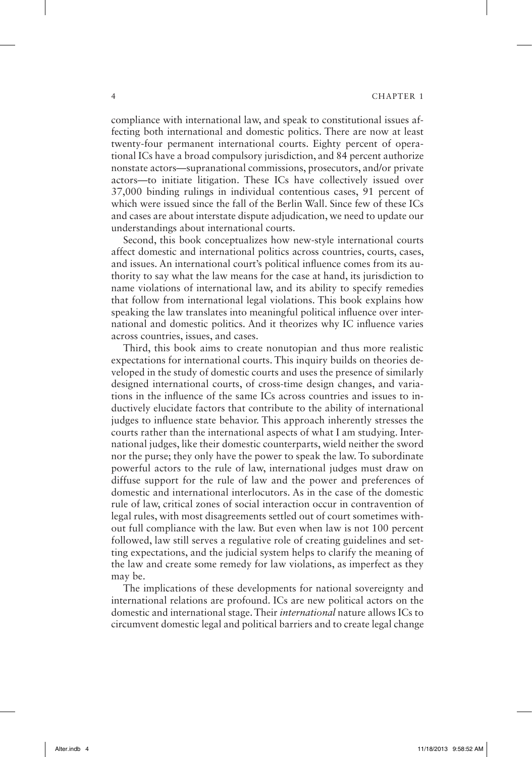compliance with international law, and speak to constitutional issues affecting both international and domestic politics. There are now at least twenty-four permanent international courts. Eighty percent of operational ICs have a broad compulsory jurisdiction, and 84 percent authorize nonstate actors—supranational commissions, prosecutors, and/or private actors—to initiate litigation. These ICs have collectively issued over 37,000 binding rulings in individual contentious cases, 91 percent of which were issued since the fall of the Berlin Wall. Since few of these ICs and cases are about interstate dispute adjudication, we need to update our understandings about international courts.

Second, this book conceptualizes how new-style international courts affect domestic and international politics across countries, courts, cases, and issues. An international court's political influence comes from its authority to say what the law means for the case at hand, its jurisdiction to name violations of international law, and its ability to specify remedies that follow from international legal violations. This book explains how speaking the law translates into meaningful political influence over international and domestic politics. And it theorizes why IC influence varies across countries, issues, and cases.

Third, this book aims to create nonutopian and thus more realistic expectations for international courts. This inquiry builds on theories developed in the study of domestic courts and uses the presence of similarly designed international courts, of cross-time design changes, and variations in the influence of the same ICs across countries and issues to inductively elucidate factors that contribute to the ability of international judges to influence state behavior. This approach inherently stresses the courts rather than the international aspects of what I am studying. International judges, like their domestic counterparts, wield neither the sword nor the purse; they only have the power to speak the law. To subordinate powerful actors to the rule of law, international judges must draw on diffuse support for the rule of law and the power and preferences of domestic and international interlocutors. As in the case of the domestic rule of law, critical zones of social interaction occur in contravention of legal rules, with most disagreements settled out of court sometimes without full compliance with the law. But even when law is not 100 percent followed, law still serves a regulative role of creating guidelines and setting expectations, and the judicial system helps to clarify the meaning of the law and create some remedy for law violations, as imperfect as they may be.

The implications of these developments for national sovereignty and international relations are profound. ICs are new political actors on the domestic and international stage. Their *international* nature allows ICs to circumvent domestic legal and political barriers and to create legal change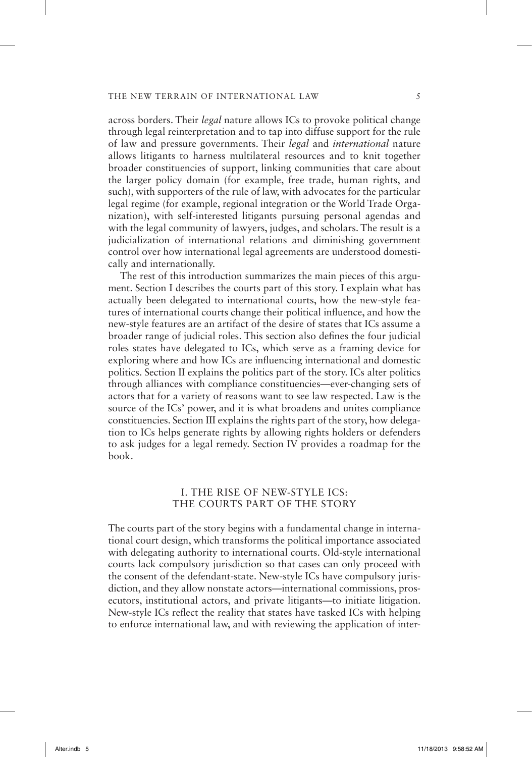#### THE NEW TERRAIN OF INTERNATIONAL LAW 5

across borders. Their *legal* nature allows ICs to provoke political change through legal reinterpretation and to tap into diffuse support for the rule of law and pressure governments. Their *legal* and *international* nature allows litigants to harness multilateral resources and to knit together broader constituencies of support, linking communities that care about the larger policy domain (for example, free trade, human rights, and such), with supporters of the rule of law, with advocates for the particular legal regime (for example, regional integration or the World Trade Organization), with self-interested litigants pursuing personal agendas and with the legal community of lawyers, judges, and scholars. The result is a judicialization of international relations and diminishing government control over how international legal agreements are understood domestically and internationally.

The rest of this introduction summarizes the main pieces of this argument. Section I describes the courts part of this story. I explain what has actually been delegated to international courts, how the new-style features of international courts change their political influence, and how the new-style features are an artifact of the desire of states that ICs assume a broader range of judicial roles. This section also defines the four judicial roles states have delegated to ICs, which serve as a framing device for exploring where and how ICs are influencing international and domestic politics. Section II explains the politics part of the story. ICs alter politics through alliances with compliance constituencies—ever-changing sets of actors that for a variety of reasons want to see law respected. Law is the source of the ICs' power, and it is what broadens and unites compliance constituencies. Section III explains the rights part of the story, how delegation to ICs helps generate rights by allowing rights holders or defenders to ask judges for a legal remedy. Section IV provides a roadmap for the book.

## I. THE RISE OF NEW-STYLE ICS: THE COURTS PART OF THE STORY

The courts part of the story begins with a fundamental change in international court design, which transforms the political importance associated with delegating authority to international courts. Old-style international courts lack compulsory jurisdiction so that cases can only proceed with the consent of the defendant-state. New-style ICs have compulsory jurisdiction, and they allow nonstate actors—international commissions, prosecutors, institutional actors, and private litigants—to initiate litigation. New-style ICs reflect the reality that states have tasked ICs with helping to enforce international law, and with reviewing the application of inter-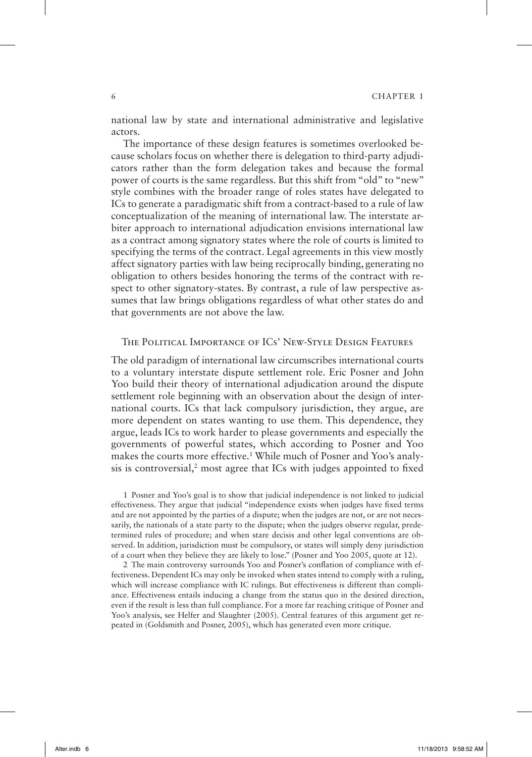national law by state and international administrative and legislative actors.

The importance of these design features is sometimes overlooked because scholars focus on whether there is delegation to third-party adjudicators rather than the form delegation takes and because the formal power of courts is the same regardless. But this shift from "old" to "new" style combines with the broader range of roles states have delegated to ICs to generate a paradigmatic shift from a contract-based to a rule of law conceptualization of the meaning of international law. The interstate arbiter approach to international adjudication envisions international law as a contract among signatory states where the role of courts is limited to specifying the terms of the contract. Legal agreements in this view mostly affect signatory parties with law being reciprocally binding, generating no obligation to others besides honoring the terms of the contract with respect to other signatory-states. By contrast, a rule of law perspective assumes that law brings obligations regardless of what other states do and that governments are not above the law.

## The Political Importance of ICs' New-Style Design Features

The old paradigm of international law circumscribes international courts to a voluntary interstate dispute settlement role. Eric Posner and John Yoo build their theory of international adjudication around the dispute settlement role beginning with an observation about the design of international courts. ICs that lack compulsory jurisdiction, they argue, are more dependent on states wanting to use them. This dependence, they argue, leads ICs to work harder to please governments and especially the governments of powerful states, which according to Posner and Yoo makes the courts more effective.<sup>1</sup> While much of Posner and Yoo's analysis is controversial,<sup>2</sup> most agree that ICs with judges appointed to fixed

1 Posner and Yoo's goal is to show that judicial independence is not linked to judicial effectiveness. They argue that judicial "independence exists when judges have fixed terms and are not appointed by the parties of a dispute; when the judges are not, or are not necessarily, the nationals of a state party to the dispute; when the judges observe regular, predetermined rules of procedure; and when stare decisis and other legal conventions are observed. In addition, jurisdiction must be compulsory, or states will simply deny jurisdiction of a court when they believe they are likely to lose." (Posner and Yoo 2005, quote at 12).

2 The main controversy surrounds Yoo and Posner's conflation of compliance with effectiveness. Dependent ICs may only be invoked when states intend to comply with a ruling, which will increase compliance with IC rulings. But effectiveness is different than compliance. Effectiveness entails inducing a change from the status quo in the desired direction, even if the result is less than full compliance. For a more far reaching critique of Posner and Yoo's analysis, see Helfer and Slaughter (2005). Central features of this argument get repeated in (Goldsmith and Posner, 2005), which has generated even more critique.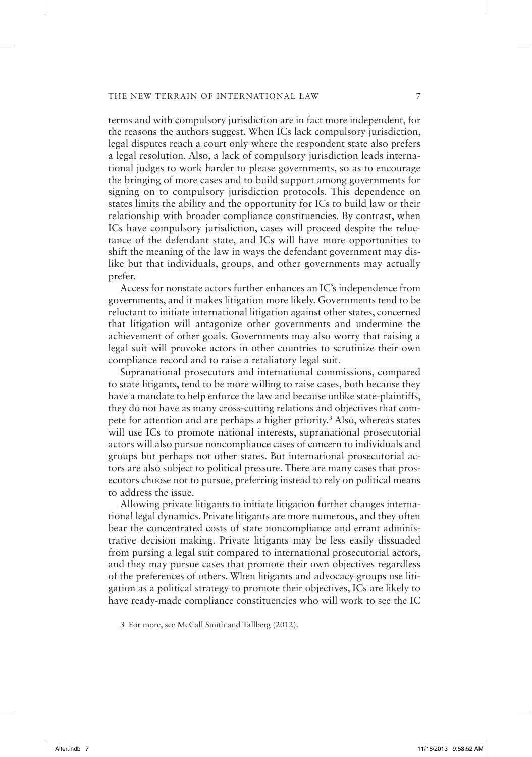terms and with compulsory jurisdiction are in fact more independent, for the reasons the authors suggest. When ICs lack compulsory jurisdiction, legal disputes reach a court only where the respondent state also prefers a legal resolution. Also, a lack of compulsory jurisdiction leads international judges to work harder to please governments, so as to encourage the bringing of more cases and to build support among governments for signing on to compulsory jurisdiction protocols. This dependence on states limits the ability and the opportunity for ICs to build law or their relationship with broader compliance constituencies. By contrast, when ICs have compulsory jurisdiction, cases will proceed despite the reluctance of the defendant state, and ICs will have more opportunities to shift the meaning of the law in ways the defendant government may dislike but that individuals, groups, and other governments may actually prefer.

Access for nonstate actors further enhances an IC's independence from governments, and it makes litigation more likely. Governments tend to be reluctant to initiate international litigation against other states, concerned that litigation will antagonize other governments and undermine the achievement of other goals. Governments may also worry that raising a legal suit will provoke actors in other countries to scrutinize their own compliance record and to raise a retaliatory legal suit.

Supranational prosecutors and international commissions, compared to state litigants, tend to be more willing to raise cases, both because they have a mandate to help enforce the law and because unlike state-plaintiffs, they do not have as many cross-cutting relations and objectives that compete for attention and are perhaps a higher priority.3 Also, whereas states will use ICs to promote national interests, supranational prosecutorial actors will also pursue noncompliance cases of concern to individuals and groups but perhaps not other states. But international prosecutorial actors are also subject to political pressure. There are many cases that prosecutors choose not to pursue, preferring instead to rely on political means to address the issue.

Allowing private litigants to initiate litigation further changes international legal dynamics. Private litigants are more numerous, and they often bear the concentrated costs of state noncompliance and errant administrative decision making. Private litigants may be less easily dissuaded from pursing a legal suit compared to international prosecutorial actors, and they may pursue cases that promote their own objectives regardless of the preferences of others. When litigants and advocacy groups use litigation as a political strategy to promote their objectives, ICs are likely to have ready-made compliance constituencies who will work to see the IC

3 For more, see McCall Smith and Tallberg (2012).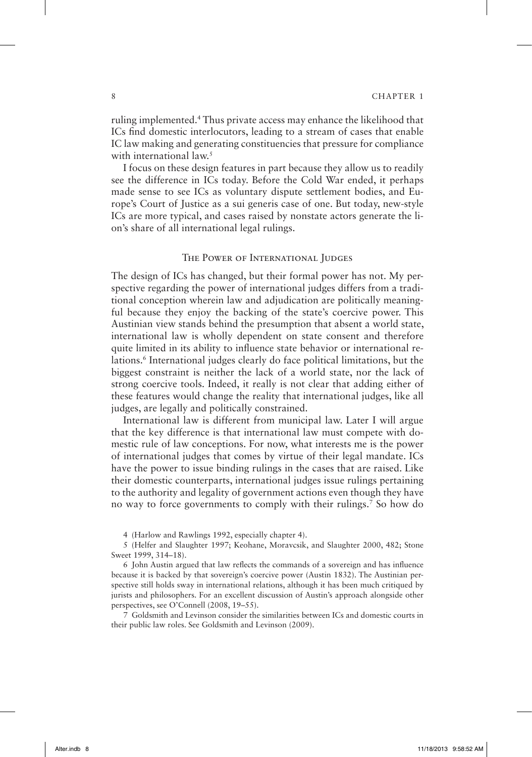ruling implemented.4 Thus private access may enhance the likelihood that ICs find domestic interlocutors, leading to a stream of cases that enable IC law making and generating constituencies that pressure for compliance with international law.<sup>5</sup>

I focus on these design features in part because they allow us to readily see the difference in ICs today. Before the Cold War ended, it perhaps made sense to see ICs as voluntary dispute settlement bodies, and Europe's Court of Justice as a sui generis case of one. But today, new-style ICs are more typical, and cases raised by nonstate actors generate the lion's share of all international legal rulings.

#### THE POWER OF INTERNATIONAL JUDGES

The design of ICs has changed, but their formal power has not. My perspective regarding the power of international judges differs from a traditional conception wherein law and adjudication are politically meaningful because they enjoy the backing of the state's coercive power. This Austinian view stands behind the presumption that absent a world state, international law is wholly dependent on state consent and therefore quite limited in its ability to influence state behavior or international relations.<sup>6</sup> International judges clearly do face political limitations, but the biggest constraint is neither the lack of a world state, nor the lack of strong coercive tools. Indeed, it really is not clear that adding either of these features would change the reality that international judges, like all judges, are legally and politically constrained.

International law is different from municipal law. Later I will argue that the key difference is that international law must compete with domestic rule of law conceptions. For now, what interests me is the power of international judges that comes by virtue of their legal mandate. ICs have the power to issue binding rulings in the cases that are raised. Like their domestic counterparts, international judges issue rulings pertaining to the authority and legality of government actions even though they have no way to force governments to comply with their rulings.7 So how do

7 Goldsmith and Levinson consider the similarities between ICs and domestic courts in their public law roles. See Goldsmith and Levinson (2009).

<sup>4</sup> (Harlow and Rawlings 1992, especially chapter 4).

<sup>5</sup> (Helfer and Slaughter 1997; Keohane, Moravcsik, and Slaughter 2000, 482; Stone Sweet 1999, 314–18).

<sup>6</sup> John Austin argued that law reflects the commands of a sovereign and has influence because it is backed by that sovereign's coercive power (Austin 1832). The Austinian perspective still holds sway in international relations, although it has been much critiqued by jurists and philosophers. For an excellent discussion of Austin's approach alongside other perspectives, see O'Connell (2008, 19–55).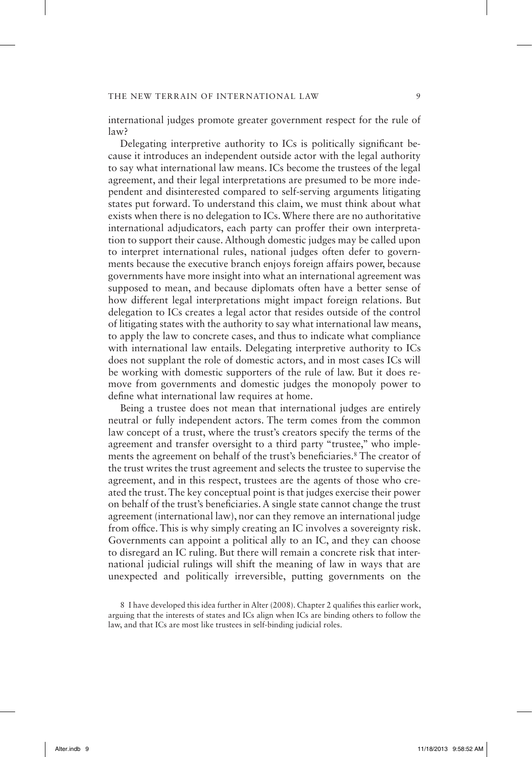international judges promote greater government respect for the rule of law?

Delegating interpretive authority to ICs is politically significant because it introduces an independent outside actor with the legal authority to say what international law means. ICs become the trustees of the legal agreement, and their legal interpretations are presumed to be more independent and disinterested compared to self-serving arguments litigating states put forward. To understand this claim, we must think about what exists when there is no delegation to ICs. Where there are no authoritative international adjudicators, each party can proffer their own interpretation to support their cause. Although domestic judges may be called upon to interpret international rules, national judges often defer to governments because the executive branch enjoys foreign affairs power, because governments have more insight into what an international agreement was supposed to mean, and because diplomats often have a better sense of how different legal interpretations might impact foreign relations. But delegation to ICs creates a legal actor that resides outside of the control of litigating states with the authority to say what international law means, to apply the law to concrete cases, and thus to indicate what compliance with international law entails. Delegating interpretive authority to ICs does not supplant the role of domestic actors, and in most cases ICs will be working with domestic supporters of the rule of law. But it does remove from governments and domestic judges the monopoly power to define what international law requires at home.

Being a trustee does not mean that international judges are entirely neutral or fully independent actors. The term comes from the common law concept of a trust, where the trust's creators specify the terms of the agreement and transfer oversight to a third party "trustee," who implements the agreement on behalf of the trust's beneficiaries.8 The creator of the trust writes the trust agreement and selects the trustee to supervise the agreement, and in this respect, trustees are the agents of those who created the trust. The key conceptual point is that judges exercise their power on behalf of the trust's beneficiaries. A single state cannot change the trust agreement (international law), nor can they remove an international judge from office. This is why simply creating an IC involves a sovereignty risk. Governments can appoint a political ally to an IC, and they can choose to disregard an IC ruling. But there will remain a concrete risk that international judicial rulings will shift the meaning of law in ways that are unexpected and politically irreversible, putting governments on the

<sup>8</sup> I have developed this idea further in Alter (2008). Chapter 2 qualifies this earlier work, arguing that the interests of states and ICs align when ICs are binding others to follow the law, and that ICs are most like trustees in self-binding judicial roles.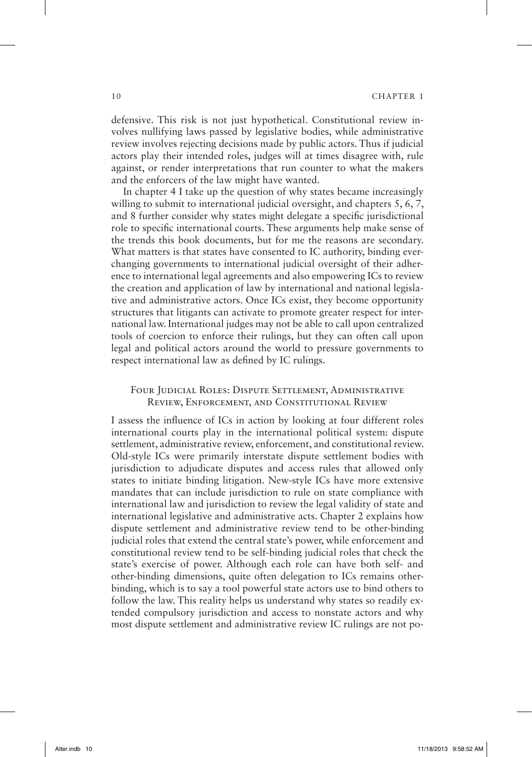defensive. This risk is not just hypothetical. Constitutional review involves nullifying laws passed by legislative bodies, while administrative review involves rejecting decisions made by public actors. Thus if judicial actors play their intended roles, judges will at times disagree with, rule against, or render interpretations that run counter to what the makers and the enforcers of the law might have wanted.

In chapter 4 I take up the question of why states became increasingly willing to submit to international judicial oversight, and chapters 5, 6, 7, and 8 further consider why states might delegate a specific jurisdictional role to specific international courts. These arguments help make sense of the trends this book documents, but for me the reasons are secondary. What matters is that states have consented to IC authority, binding everchanging governments to international judicial oversight of their adherence to international legal agreements and also empowering ICs to review the creation and application of law by international and national legislative and administrative actors. Once ICs exist, they become opportunity structures that litigants can activate to promote greater respect for international law. International judges may not be able to call upon centralized tools of coercion to enforce their rulings, but they can often call upon legal and political actors around the world to pressure governments to respect international law as defined by IC rulings.

## FOUR JUDICIAL ROLES: DISPUTE SETTLEMENT, ADMINISTRATIVE Review, Enforcement, and Constitutional Review

I assess the influence of ICs in action by looking at four different roles international courts play in the international political system: dispute settlement, administrative review, enforcement, and constitutional review. Old-style ICs were primarily interstate dispute settlement bodies with jurisdiction to adjudicate disputes and access rules that allowed only states to initiate binding litigation. New-style ICs have more extensive mandates that can include jurisdiction to rule on state compliance with international law and jurisdiction to review the legal validity of state and international legislative and administrative acts. Chapter 2 explains how dispute settlement and administrative review tend to be other-binding judicial roles that extend the central state's power, while enforcement and constitutional review tend to be self-binding judicial roles that check the state's exercise of power. Although each role can have both self- and other-binding dimensions, quite often delegation to ICs remains otherbinding, which is to say a tool powerful state actors use to bind others to follow the law. This reality helps us understand why states so readily extended compulsory jurisdiction and access to nonstate actors and why most dispute settlement and administrative review IC rulings are not po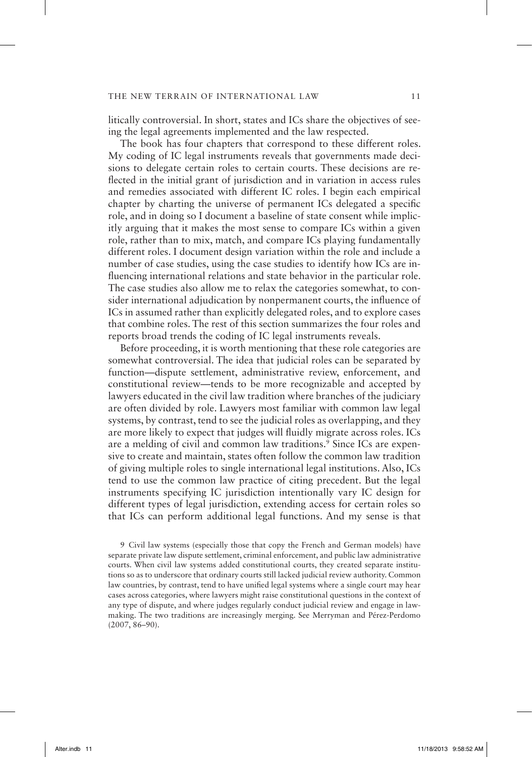litically controversial. In short, states and ICs share the objectives of seeing the legal agreements implemented and the law respected.

The book has four chapters that correspond to these different roles. My coding of IC legal instruments reveals that governments made decisions to delegate certain roles to certain courts. These decisions are reflected in the initial grant of jurisdiction and in variation in access rules and remedies associated with different IC roles. I begin each empirical chapter by charting the universe of permanent ICs delegated a specific role, and in doing so I document a baseline of state consent while implicitly arguing that it makes the most sense to compare ICs within a given role, rather than to mix, match, and compare ICs playing fundamentally different roles. I document design variation within the role and include a number of case studies, using the case studies to identify how ICs are influencing international relations and state behavior in the particular role. The case studies also allow me to relax the categories somewhat, to consider international adjudication by nonpermanent courts, the influence of ICs in assumed rather than explicitly delegated roles, and to explore cases that combine roles. The rest of this section summarizes the four roles and reports broad trends the coding of IC legal instruments reveals.

Before proceeding, it is worth mentioning that these role categories are somewhat controversial. The idea that judicial roles can be separated by function—dispute settlement, administrative review, enforcement, and constitutional review—tends to be more recognizable and accepted by lawyers educated in the civil law tradition where branches of the judiciary are often divided by role. Lawyers most familiar with common law legal systems, by contrast, tend to see the judicial roles as overlapping, and they are more likely to expect that judges will fluidly migrate across roles. ICs are a melding of civil and common law traditions.<sup>9</sup> Since ICs are expensive to create and maintain, states often follow the common law tradition of giving multiple roles to single international legal institutions. Also, ICs tend to use the common law practice of citing precedent. But the legal instruments specifying IC jurisdiction intentionally vary IC design for different types of legal jurisdiction, extending access for certain roles so that ICs can perform additional legal functions. And my sense is that

9 Civil law systems (especially those that copy the French and German models) have separate private law dispute settlement, criminal enforcement, and public law administrative courts. When civil law systems added constitutional courts, they created separate institutions so as to underscore that ordinary courts still lacked judicial review authority. Common law countries, by contrast, tend to have unified legal systems where a single court may hear cases across categories, where lawyers might raise constitutional questions in the context of any type of dispute, and where judges regularly conduct judicial review and engage in lawmaking. The two traditions are increasingly merging. See Merryman and Pérez-Perdomo (2007, 86–90).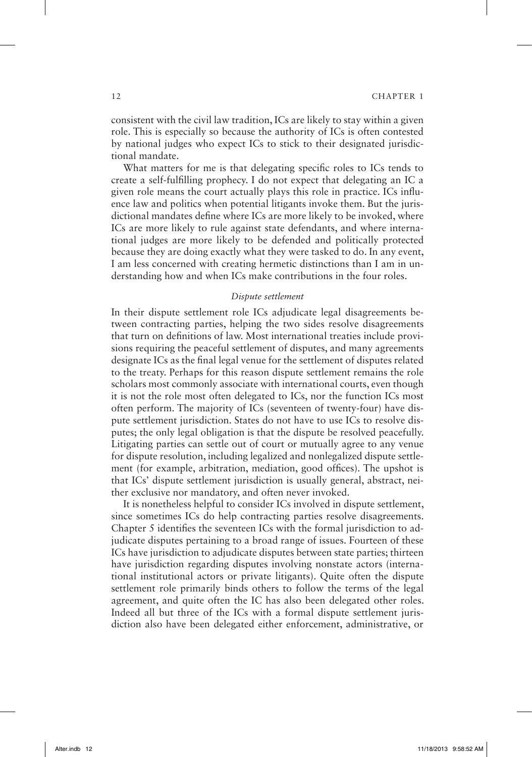consistent with the civil law tradition, ICs are likely to stay within a given role. This is especially so because the authority of ICs is often contested by national judges who expect ICs to stick to their designated jurisdictional mandate.

What matters for me is that delegating specific roles to ICs tends to create a self-fulfilling prophecy. I do not expect that delegating an IC a given role means the court actually plays this role in practice. ICs influence law and politics when potential litigants invoke them. But the jurisdictional mandates define where ICs are more likely to be invoked, where ICs are more likely to rule against state defendants, and where international judges are more likely to be defended and politically protected because they are doing exactly what they were tasked to do. In any event, I am less concerned with creating hermetic distinctions than I am in understanding how and when ICs make contributions in the four roles.

#### *Dispute settlement*

In their dispute settlement role ICs adjudicate legal disagreements between contracting parties, helping the two sides resolve disagreements that turn on definitions of law. Most international treaties include provisions requiring the peaceful settlement of disputes, and many agreements designate ICs as the final legal venue for the settlement of disputes related to the treaty. Perhaps for this reason dispute settlement remains the role scholars most commonly associate with international courts, even though it is not the role most often delegated to ICs, nor the function ICs most often perform. The majority of ICs (seventeen of twenty-four) have dispute settlement jurisdiction. States do not have to use ICs to resolve disputes; the only legal obligation is that the dispute be resolved peacefully. Litigating parties can settle out of court or mutually agree to any venue for dispute resolution, including legalized and nonlegalized dispute settlement (for example, arbitration, mediation, good offices). The upshot is that ICs' dispute settlement jurisdiction is usually general, abstract, neither exclusive nor mandatory, and often never invoked.

It is nonetheless helpful to consider ICs involved in dispute settlement, since sometimes ICs do help contracting parties resolve disagreements. Chapter 5 identifies the seventeen ICs with the formal jurisdiction to adjudicate disputes pertaining to a broad range of issues. Fourteen of these ICs have jurisdiction to adjudicate disputes between state parties; thirteen have jurisdiction regarding disputes involving nonstate actors (international institutional actors or private litigants). Quite often the dispute settlement role primarily binds others to follow the terms of the legal agreement, and quite often the IC has also been delegated other roles. Indeed all but three of the ICs with a formal dispute settlement jurisdiction also have been delegated either enforcement, administrative, or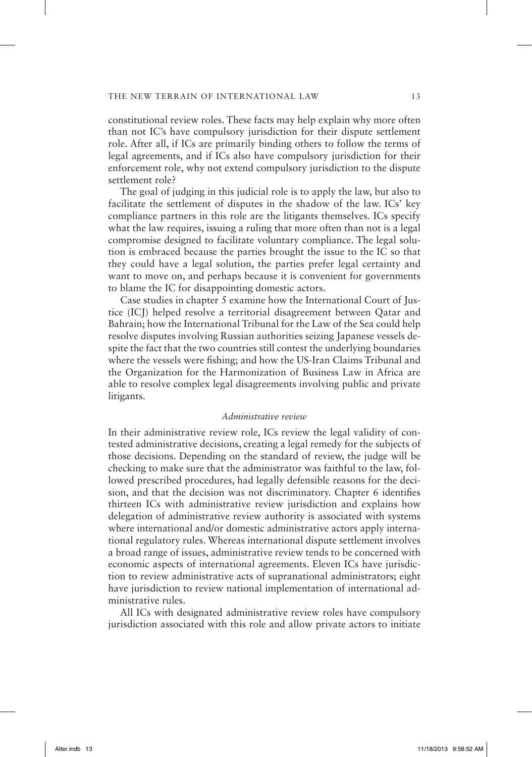constitutional review roles. These facts may help explain why more often than not IC's have compulsory jurisdiction for their dispute settlement role. After all, if ICs are primarily binding others to follow the terms of legal agreements, and if ICs also have compulsory jurisdiction for their enforcement role, why not extend compulsory jurisdiction to the dispute settlement role?

The goal of judging in this judicial role is to apply the law, but also to facilitate the settlement of disputes in the shadow of the law. ICs' key compliance partners in this role are the litigants themselves. ICs specify what the law requires, issuing a ruling that more often than not is a legal compromise designed to facilitate voluntary compliance. The legal solution is embraced because the parties brought the issue to the IC so that they could have a legal solution, the parties prefer legal certainty and want to move on, and perhaps because it is convenient for governments to blame the IC for disappointing domestic actors.

Case studies in chapter 5 examine how the International Court of Justice (ICJ) helped resolve a territorial disagreement between Qatar and Bahrain; how the International Tribunal for the Law of the Sea could help resolve disputes involving Russian authorities seizing Japanese vessels despite the fact that the two countries still contest the underlying boundaries where the vessels were fishing; and how the US-Iran Claims Tribunal and the Organization for the Harmonization of Business Law in Africa are able to resolve complex legal disagreements involving public and private litigants.

#### *Administrative review*

In their administrative review role, ICs review the legal validity of contested administrative decisions, creating a legal remedy for the subjects of those decisions. Depending on the standard of review, the judge will be checking to make sure that the administrator was faithful to the law, followed prescribed procedures, had legally defensible reasons for the decision, and that the decision was not discriminatory. Chapter 6 identifies thirteen ICs with administrative review jurisdiction and explains how delegation of administrative review authority is associated with systems where international and/or domestic administrative actors apply international regulatory rules. Whereas international dispute settlement involves a broad range of issues, administrative review tends to be concerned with economic aspects of international agreements. Eleven ICs have jurisdiction to review administrative acts of supranational administrators; eight have jurisdiction to review national implementation of international administrative rules.

All ICs with designated administrative review roles have compulsory jurisdiction associated with this role and allow private actors to initiate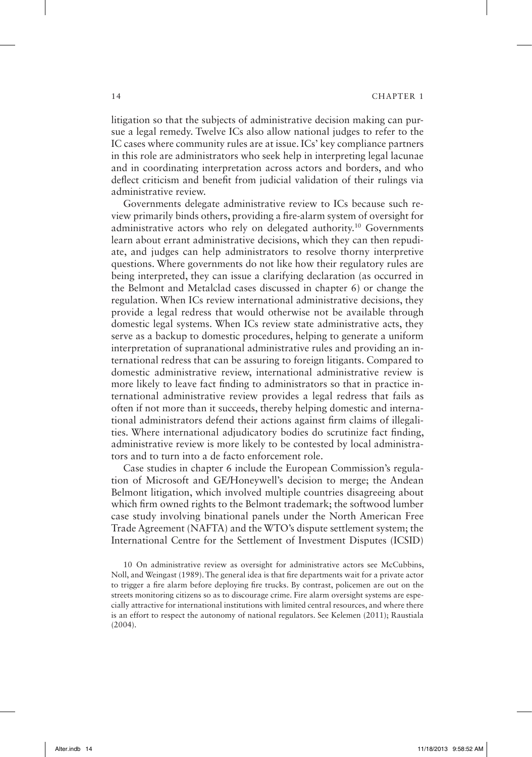litigation so that the subjects of administrative decision making can pursue a legal remedy. Twelve ICs also allow national judges to refer to the IC cases where community rules are at issue. ICs' key compliance partners in this role are administrators who seek help in interpreting legal lacunae and in coordinating interpretation across actors and borders, and who deflect criticism and benefit from judicial validation of their rulings via administrative review.

Governments delegate administrative review to ICs because such review primarily binds others, providing a fire-alarm system of oversight for administrative actors who rely on delegated authority.10 Governments learn about errant administrative decisions, which they can then repudiate, and judges can help administrators to resolve thorny interpretive questions. Where governments do not like how their regulatory rules are being interpreted, they can issue a clarifying declaration (as occurred in the Belmont and Metalclad cases discussed in chapter 6) or change the regulation. When ICs review international administrative decisions, they provide a legal redress that would otherwise not be available through domestic legal systems. When ICs review state administrative acts, they serve as a backup to domestic procedures, helping to generate a uniform interpretation of supranational administrative rules and providing an international redress that can be assuring to foreign litigants. Compared to domestic administrative review, international administrative review is more likely to leave fact finding to administrators so that in practice international administrative review provides a legal redress that fails as often if not more than it succeeds, thereby helping domestic and international administrators defend their actions against firm claims of illegalities. Where international adjudicatory bodies do scrutinize fact finding, administrative review is more likely to be contested by local administrators and to turn into a de facto enforcement role.

Case studies in chapter 6 include the European Commission's regulation of Microsoft and GE/Honeywell's decision to merge; the Andean Belmont litigation, which involved multiple countries disagreeing about which firm owned rights to the Belmont trademark; the softwood lumber case study involving binational panels under the North American Free Trade Agreement (NAFTA) and the WTO's dispute settlement system; the International Centre for the Settlement of Investment Disputes (ICSID)

<sup>10</sup> On administrative review as oversight for administrative actors see McCubbins, Noll, and Weingast (1989). The general idea is that fire departments wait for a private actor to trigger a fire alarm before deploying fire trucks. By contrast, policemen are out on the streets monitoring citizens so as to discourage crime. Fire alarm oversight systems are especially attractive for international institutions with limited central resources, and where there is an effort to respect the autonomy of national regulators. See Kelemen (2011); Raustiala (2004).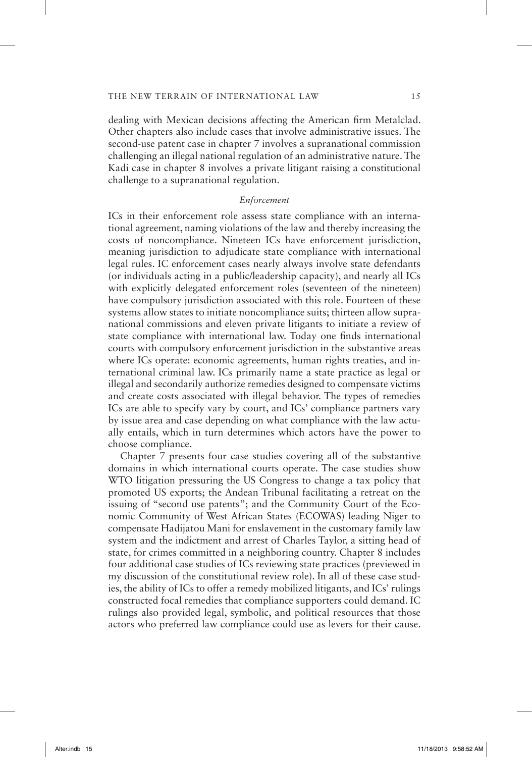dealing with Mexican decisions affecting the American firm Metalclad. Other chapters also include cases that involve administrative issues. The second-use patent case in chapter 7 involves a supranational commission challenging an illegal national regulation of an administrative nature. The Kadi case in chapter 8 involves a private litigant raising a constitutional challenge to a supranational regulation.

#### *Enforcement*

ICs in their enforcement role assess state compliance with an international agreement, naming violations of the law and thereby increasing the costs of noncompliance. Nineteen ICs have enforcement jurisdiction, meaning jurisdiction to adjudicate state compliance with international legal rules. IC enforcement cases nearly always involve state defendants (or individuals acting in a public/leadership capacity), and nearly all ICs with explicitly delegated enforcement roles (seventeen of the nineteen) have compulsory jurisdiction associated with this role. Fourteen of these systems allow states to initiate noncompliance suits; thirteen allow supranational commissions and eleven private litigants to initiate a review of state compliance with international law. Today one finds international courts with compulsory enforcement jurisdiction in the substantive areas where ICs operate: economic agreements, human rights treaties, and international criminal law. ICs primarily name a state practice as legal or illegal and secondarily authorize remedies designed to compensate victims and create costs associated with illegal behavior. The types of remedies ICs are able to specify vary by court, and ICs' compliance partners vary by issue area and case depending on what compliance with the law actually entails, which in turn determines which actors have the power to choose compliance.

Chapter 7 presents four case studies covering all of the substantive domains in which international courts operate. The case studies show WTO litigation pressuring the US Congress to change a tax policy that promoted US exports; the Andean Tribunal facilitating a retreat on the issuing of "second use patents"; and the Community Court of the Economic Community of West African States (ECOWAS) leading Niger to compensate Hadijatou Mani for enslavement in the customary family law system and the indictment and arrest of Charles Taylor, a sitting head of state, for crimes committed in a neighboring country. Chapter 8 includes four additional case studies of ICs reviewing state practices (previewed in my discussion of the constitutional review role). In all of these case studies, the ability of ICs to offer a remedy mobilized litigants, and ICs' rulings constructed focal remedies that compliance supporters could demand. IC rulings also provided legal, symbolic, and political resources that those actors who preferred law compliance could use as levers for their cause.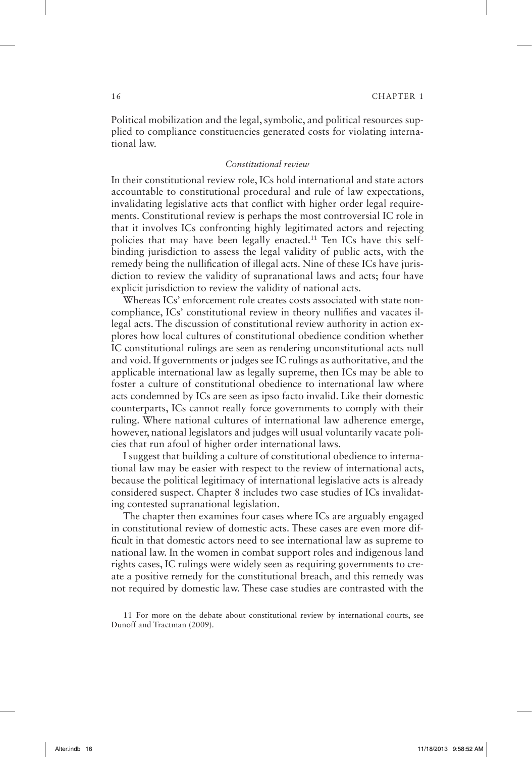Political mobilization and the legal, symbolic, and political resources supplied to compliance constituencies generated costs for violating international law.

#### *Constitutional review*

In their constitutional review role, ICs hold international and state actors accountable to constitutional procedural and rule of law expectations, invalidating legislative acts that conflict with higher order legal requirements. Constitutional review is perhaps the most controversial IC role in that it involves ICs confronting highly legitimated actors and rejecting policies that may have been legally enacted.11 Ten ICs have this selfbinding jurisdiction to assess the legal validity of public acts, with the remedy being the nullification of illegal acts. Nine of these ICs have jurisdiction to review the validity of supranational laws and acts; four have explicit jurisdiction to review the validity of national acts.

Whereas ICs' enforcement role creates costs associated with state noncompliance, ICs' constitutional review in theory nullifies and vacates illegal acts. The discussion of constitutional review authority in action explores how local cultures of constitutional obedience condition whether IC constitutional rulings are seen as rendering unconstitutional acts null and void. If governments or judges see IC rulings as authoritative, and the applicable international law as legally supreme, then ICs may be able to foster a culture of constitutional obedience to international law where acts condemned by ICs are seen as ipso facto invalid. Like their domestic counterparts, ICs cannot really force governments to comply with their ruling. Where national cultures of international law adherence emerge, however, national legislators and judges will usual voluntarily vacate policies that run afoul of higher order international laws.

I suggest that building a culture of constitutional obedience to international law may be easier with respect to the review of international acts, because the political legitimacy of international legislative acts is already considered suspect. Chapter 8 includes two case studies of ICs invalidating contested supranational legislation.

The chapter then examines four cases where ICs are arguably engaged in constitutional review of domestic acts. These cases are even more difficult in that domestic actors need to see international law as supreme to national law. In the women in combat support roles and indigenous land rights cases, IC rulings were widely seen as requiring governments to create a positive remedy for the constitutional breach, and this remedy was not required by domestic law. These case studies are contrasted with the

11 For more on the debate about constitutional review by international courts, see Dunoff and Tractman (2009).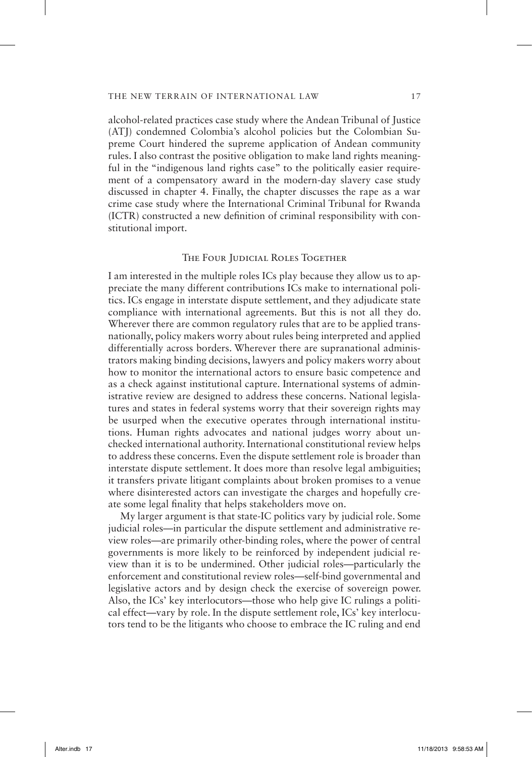#### THE NEW TERRAIN OF INTERNATIONAL LAW 17

alcohol-related practices case study where the Andean Tribunal of Justice (ATJ) condemned Colombia's alcohol policies but the Colombian Supreme Court hindered the supreme application of Andean community rules. I also contrast the positive obligation to make land rights meaningful in the "indigenous land rights case" to the politically easier requirement of a compensatory award in the modern-day slavery case study discussed in chapter 4. Finally, the chapter discusses the rape as a war crime case study where the International Criminal Tribunal for Rwanda (ICTR) constructed a new definition of criminal responsibility with constitutional import.

#### THE FOUR JUDICIAL ROLES TOGETHER

I am interested in the multiple roles ICs play because they allow us to appreciate the many different contributions ICs make to international politics. ICs engage in interstate dispute settlement, and they adjudicate state compliance with international agreements. But this is not all they do. Wherever there are common regulatory rules that are to be applied transnationally, policy makers worry about rules being interpreted and applied differentially across borders. Wherever there are supranational administrators making binding decisions, lawyers and policy makers worry about how to monitor the international actors to ensure basic competence and as a check against institutional capture. International systems of administrative review are designed to address these concerns. National legislatures and states in federal systems worry that their sovereign rights may be usurped when the executive operates through international institutions. Human rights advocates and national judges worry about unchecked international authority. International constitutional review helps to address these concerns. Even the dispute settlement role is broader than interstate dispute settlement. It does more than resolve legal ambiguities; it transfers private litigant complaints about broken promises to a venue where disinterested actors can investigate the charges and hopefully create some legal finality that helps stakeholders move on.

My larger argument is that state-IC politics vary by judicial role. Some judicial roles—in particular the dispute settlement and administrative review roles—are primarily other-binding roles, where the power of central governments is more likely to be reinforced by independent judicial review than it is to be undermined. Other judicial roles—particularly the enforcement and constitutional review roles—self-bind governmental and legislative actors and by design check the exercise of sovereign power. Also, the ICs' key interlocutors—those who help give IC rulings a political effect—vary by role. In the dispute settlement role, ICs' key interlocutors tend to be the litigants who choose to embrace the IC ruling and end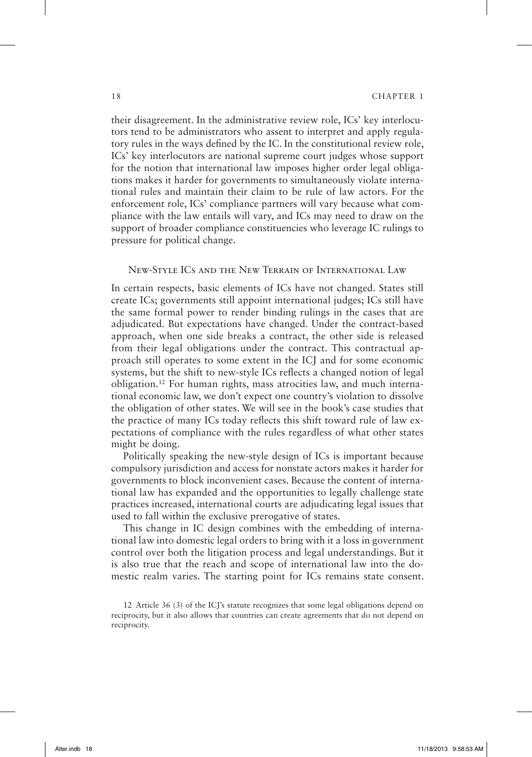their disagreement. In the administrative review role, ICs' key interlocutors tend to be administrators who assent to interpret and apply regulatory rules in the ways defined by the IC. In the constitutional review role, ICs' key interlocutors are national supreme court judges whose support for the notion that international law imposes higher order legal obligations makes it harder for governments to simultaneously violate international rules and maintain their claim to be rule of law actors. For the enforcement role, ICs' compliance partners will vary because what compliance with the law entails will vary, and ICs may need to draw on the support of broader compliance constituencies who leverage IC rulings to pressure for political change.

### New-Style ICs and the New Terrain of International Law

In certain respects, basic elements of ICs have not changed. States still create ICs; governments still appoint international judges; ICs still have the same formal power to render binding rulings in the cases that are adjudicated. But expectations have changed. Under the contract-based approach, when one side breaks a contract, the other side is released from their legal obligations under the contract. This contractual approach still operates to some extent in the ICJ and for some economic systems, but the shift to new-style ICs reflects a changed notion of legal obligation.12 For human rights, mass atrocities law, and much international economic law, we don't expect one country's violation to dissolve the obligation of other states. We will see in the book's case studies that the practice of many ICs today reflects this shift toward rule of law expectations of compliance with the rules regardless of what other states might be doing.

Politically speaking the new-style design of ICs is important because compulsory jurisdiction and access for nonstate actors makes it harder for governments to block inconvenient cases. Because the content of international law has expanded and the opportunities to legally challenge state practices increased, international courts are adjudicating legal issues that used to fall within the exclusive prerogative of states.

This change in IC design combines with the embedding of international law into domestic legal orders to bring with it a loss in government control over both the litigation process and legal understandings. But it is also true that the reach and scope of international law into the domestic realm varies. The starting point for ICs remains state consent.

<sup>12</sup> Article 36 (3) of the ICJ's statute recognizes that some legal obligations depend on reciprocity, but it also allows that countries can create agreements that do not depend on reciprocity.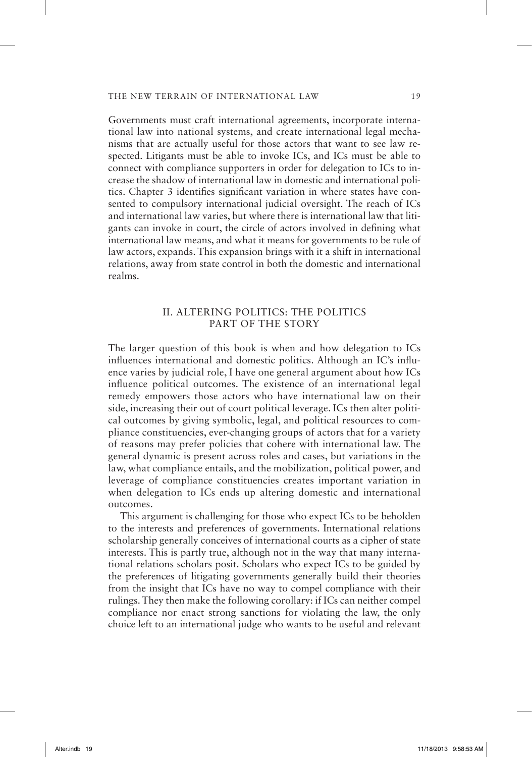Governments must craft international agreements, incorporate international law into national systems, and create international legal mechanisms that are actually useful for those actors that want to see law respected. Litigants must be able to invoke ICs, and ICs must be able to connect with compliance supporters in order for delegation to ICs to increase the shadow of international law in domestic and international politics. Chapter 3 identifies significant variation in where states have consented to compulsory international judicial oversight. The reach of ICs and international law varies, but where there is international law that litigants can invoke in court, the circle of actors involved in defining what international law means, and what it means for governments to be rule of law actors, expands. This expansion brings with it a shift in international relations, away from state control in both the domestic and international realms.

## II. ALTERING POLITICS: THE POLITICS PART OF THE STORY

The larger question of this book is when and how delegation to ICs influences international and domestic politics. Although an IC's influence varies by judicial role, I have one general argument about how ICs influence political outcomes. The existence of an international legal remedy empowers those actors who have international law on their side, increasing their out of court political leverage. ICs then alter political outcomes by giving symbolic, legal, and political resources to compliance constituencies, ever-changing groups of actors that for a variety of reasons may prefer policies that cohere with international law. The general dynamic is present across roles and cases, but variations in the law, what compliance entails, and the mobilization, political power, and leverage of compliance constituencies creates important variation in when delegation to ICs ends up altering domestic and international outcomes.

This argument is challenging for those who expect ICs to be beholden to the interests and preferences of governments. International relations scholarship generally conceives of international courts as a cipher of state interests. This is partly true, although not in the way that many international relations scholars posit. Scholars who expect ICs to be guided by the preferences of litigating governments generally build their theories from the insight that ICs have no way to compel compliance with their rulings. They then make the following corollary: if ICs can neither compel compliance nor enact strong sanctions for violating the law, the only choice left to an international judge who wants to be useful and relevant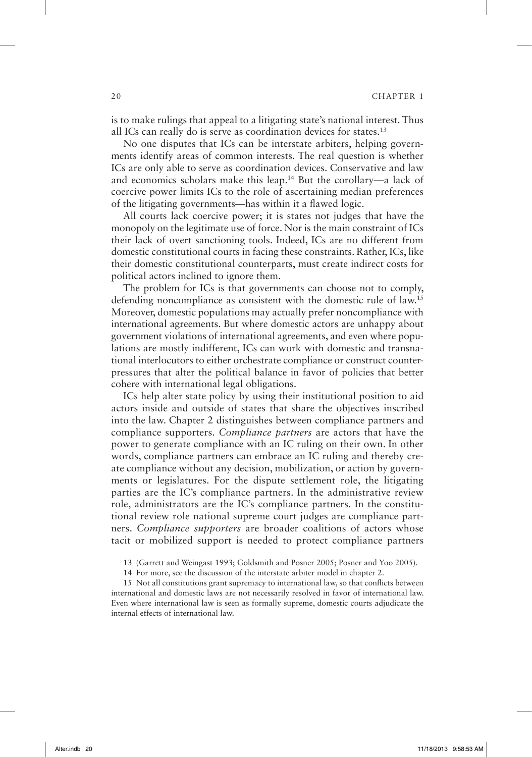#### 20 CHAPTER 1

is to make rulings that appeal to a litigating state's national interest. Thus all ICs can really do is serve as coordination devices for states.<sup>13</sup>

No one disputes that ICs can be interstate arbiters, helping governments identify areas of common interests. The real question is whether ICs are only able to serve as coordination devices. Conservative and law and economics scholars make this leap.14 But the corollary—a lack of coercive power limits ICs to the role of ascertaining median preferences of the litigating governments—has within it a flawed logic.

All courts lack coercive power; it is states not judges that have the monopoly on the legitimate use of force. Nor is the main constraint of ICs their lack of overt sanctioning tools. Indeed, ICs are no different from domestic constitutional courts in facing these constraints. Rather, ICs, like their domestic constitutional counterparts, must create indirect costs for political actors inclined to ignore them.

The problem for ICs is that governments can choose not to comply, defending noncompliance as consistent with the domestic rule of law.15 Moreover, domestic populations may actually prefer noncompliance with international agreements. But where domestic actors are unhappy about government violations of international agreements, and even where populations are mostly indifferent, ICs can work with domestic and transnational interlocutors to either orchestrate compliance or construct counterpressures that alter the political balance in favor of policies that better cohere with international legal obligations.

ICs help alter state policy by using their institutional position to aid actors inside and outside of states that share the objectives inscribed into the law. Chapter 2 distinguishes between compliance partners and compliance supporters. *Compliance partners* are actors that have the power to generate compliance with an IC ruling on their own. In other words, compliance partners can embrace an IC ruling and thereby create compliance without any decision, mobilization, or action by governments or legislatures. For the dispute settlement role, the litigating parties are the IC's compliance partners. In the administrative review role, administrators are the IC's compliance partners. In the constitutional review role national supreme court judges are compliance partners. *Compliance supporters* are broader coalitions of actors whose tacit or mobilized support is needed to protect compliance partners

13 (Garrett and Weingast 1993; Goldsmith and Posner 2005; Posner and Yoo 2005).

14 For more, see the discussion of the interstate arbiter model in chapter 2.

15 Not all constitutions grant supremacy to international law, so that conflicts between international and domestic laws are not necessarily resolved in favor of international law. Even where international law is seen as formally supreme, domestic courts adjudicate the internal effects of international law.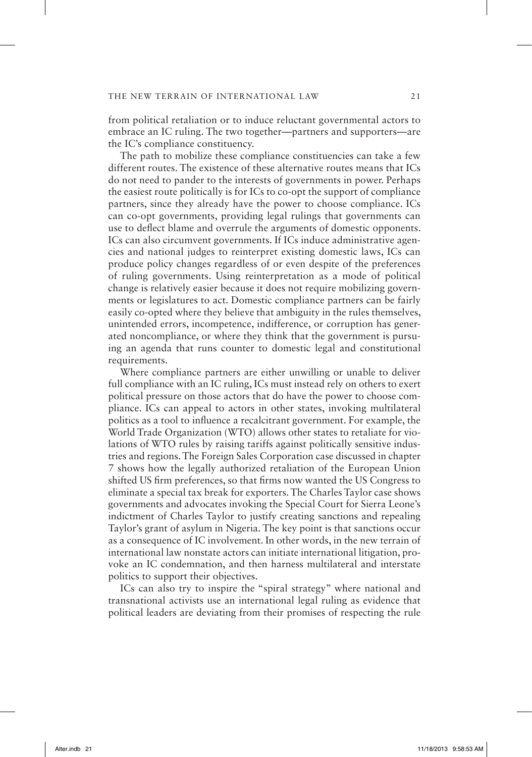from political retaliation or to induce reluctant governmental actors to embrace an IC ruling. The two together—partners and supporters—are the IC's compliance constituency.

The path to mobilize these compliance constituencies can take a few different routes. The existence of these alternative routes means that ICs do not need to pander to the interests of governments in power. Perhaps the easiest route politically is for ICs to co-opt the support of compliance partners, since they already have the power to choose compliance. ICs can co-opt governments, providing legal rulings that governments can use to deflect blame and overrule the arguments of domestic opponents. ICs can also circumvent governments. If ICs induce administrative agencies and national judges to reinterpret existing domestic laws, ICs can produce policy changes regardless of or even despite of the preferences of ruling governments. Using reinterpretation as a mode of political change is relatively easier because it does not require mobilizing governments or legislatures to act. Domestic compliance partners can be fairly easily co-opted where they believe that ambiguity in the rules themselves, unintended errors, incompetence, indifference, or corruption has generated noncompliance, or where they think that the government is pursuing an agenda that runs counter to domestic legal and constitutional requirements.

Where compliance partners are either unwilling or unable to deliver full compliance with an IC ruling, ICs must instead rely on others to exert political pressure on those actors that do have the power to choose compliance. ICs can appeal to actors in other states, invoking multilateral politics as a tool to influence a recalcitrant government. For example, the World Trade Organization (WTO) allows other states to retaliate for violations of WTO rules by raising tariffs against politically sensitive industries and regions. The Foreign Sales Corporation case discussed in chapter 7 shows how the legally authorized retaliation of the European Union shifted US firm preferences, so that firms now wanted the US Congress to eliminate a special tax break for exporters. The Charles Taylor case shows governments and advocates invoking the Special Court for Sierra Leone's indictment of Charles Taylor to justify creating sanctions and repealing Taylor's grant of asylum in Nigeria. The key point is that sanctions occur as a consequence of IC involvement. In other words, in the new terrain of international law nonstate actors can initiate international litigation, provoke an IC condemnation, and then harness multilateral and interstate politics to support their objectives.

ICs can also try to inspire the "spiral strategy" where national and transnational activists use an international legal ruling as evidence that political leaders are deviating from their promises of respecting the rule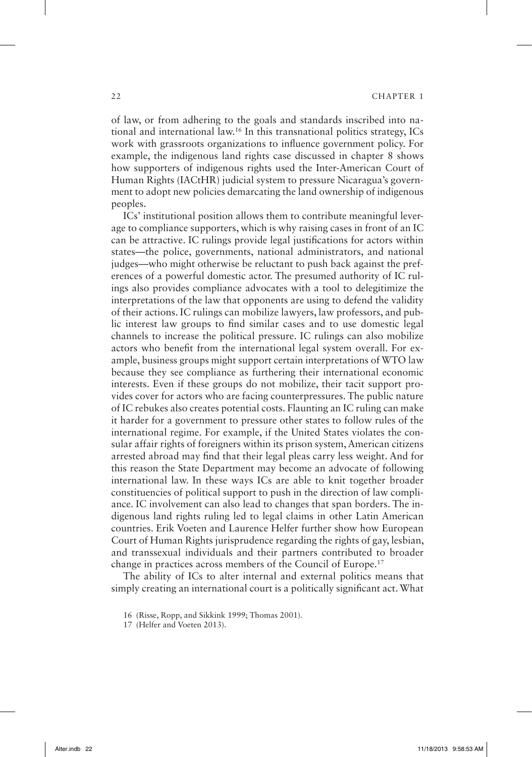of law, or from adhering to the goals and standards inscribed into national and international law.16 In this transnational politics strategy, ICs work with grassroots organizations to influence government policy. For example, the indigenous land rights case discussed in chapter 8 shows how supporters of indigenous rights used the Inter-American Court of Human Rights (IACtHR) judicial system to pressure Nicaragua's government to adopt new policies demarcating the land ownership of indigenous peoples.

ICs' institutional position allows them to contribute meaningful leverage to compliance supporters, which is why raising cases in front of an IC can be attractive. IC rulings provide legal justifications for actors within states—the police, governments, national administrators, and national judges—who might otherwise be reluctant to push back against the preferences of a powerful domestic actor. The presumed authority of IC rulings also provides compliance advocates with a tool to delegitimize the interpretations of the law that opponents are using to defend the validity of their actions. IC rulings can mobilize lawyers, law professors, and public interest law groups to find similar cases and to use domestic legal channels to increase the political pressure. IC rulings can also mobilize actors who benefit from the international legal system overall. For example, business groups might support certain interpretations of WTO law because they see compliance as furthering their international economic interests. Even if these groups do not mobilize, their tacit support provides cover for actors who are facing counterpressures. The public nature of IC rebukes also creates potential costs. Flaunting an IC ruling can make it harder for a government to pressure other states to follow rules of the international regime. For example, if the United States violates the consular affair rights of foreigners within its prison system, American citizens arrested abroad may find that their legal pleas carry less weight. And for this reason the State Department may become an advocate of following international law. In these ways ICs are able to knit together broader constituencies of political support to push in the direction of law compliance. IC involvement can also lead to changes that span borders. The indigenous land rights ruling led to legal claims in other Latin American countries. Erik Voeten and Laurence Helfer further show how European Court of Human Rights jurisprudence regarding the rights of gay, lesbian, and transsexual individuals and their partners contributed to broader change in practices across members of the Council of Europe.17

The ability of ICs to alter internal and external politics means that simply creating an international court is a politically significant act. What

<sup>16</sup> (Risse, Ropp, and Sikkink 1999; Thomas 2001).

<sup>17</sup> (Helfer and Voeten 2013).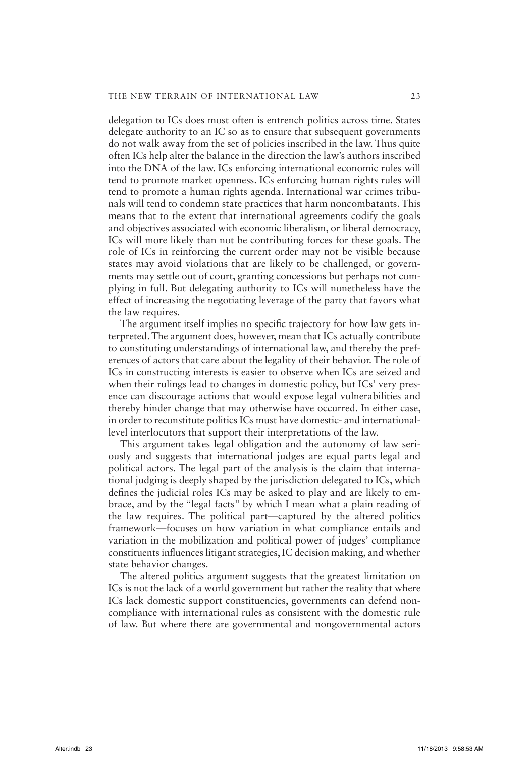delegation to ICs does most often is entrench politics across time. States delegate authority to an IC so as to ensure that subsequent governments do not walk away from the set of policies inscribed in the law. Thus quite often ICs help alter the balance in the direction the law's authors inscribed into the DNA of the law. ICs enforcing international economic rules will tend to promote market openness. ICs enforcing human rights rules will tend to promote a human rights agenda. International war crimes tribunals will tend to condemn state practices that harm noncombatants. This means that to the extent that international agreements codify the goals and objectives associated with economic liberalism, or liberal democracy, ICs will more likely than not be contributing forces for these goals. The role of ICs in reinforcing the current order may not be visible because states may avoid violations that are likely to be challenged, or governments may settle out of court, granting concessions but perhaps not complying in full. But delegating authority to ICs will nonetheless have the effect of increasing the negotiating leverage of the party that favors what the law requires.

The argument itself implies no specific trajectory for how law gets interpreted. The argument does, however, mean that ICs actually contribute to constituting understandings of international law, and thereby the preferences of actors that care about the legality of their behavior. The role of ICs in constructing interests is easier to observe when ICs are seized and when their rulings lead to changes in domestic policy, but ICs' very presence can discourage actions that would expose legal vulnerabilities and thereby hinder change that may otherwise have occurred. In either case, in order to reconstitute politics ICs must have domestic- and internationallevel interlocutors that support their interpretations of the law.

This argument takes legal obligation and the autonomy of law seriously and suggests that international judges are equal parts legal and political actors. The legal part of the analysis is the claim that international judging is deeply shaped by the jurisdiction delegated to ICs, which defines the judicial roles ICs may be asked to play and are likely to embrace, and by the "legal facts" by which I mean what a plain reading of the law requires. The political part—captured by the altered politics framework—focuses on how variation in what compliance entails and variation in the mobilization and political power of judges' compliance constituents influences litigant strategies, IC decision making, and whether state behavior changes.

The altered politics argument suggests that the greatest limitation on ICs is not the lack of a world government but rather the reality that where ICs lack domestic support constituencies, governments can defend noncompliance with international rules as consistent with the domestic rule of law. But where there are governmental and nongovernmental actors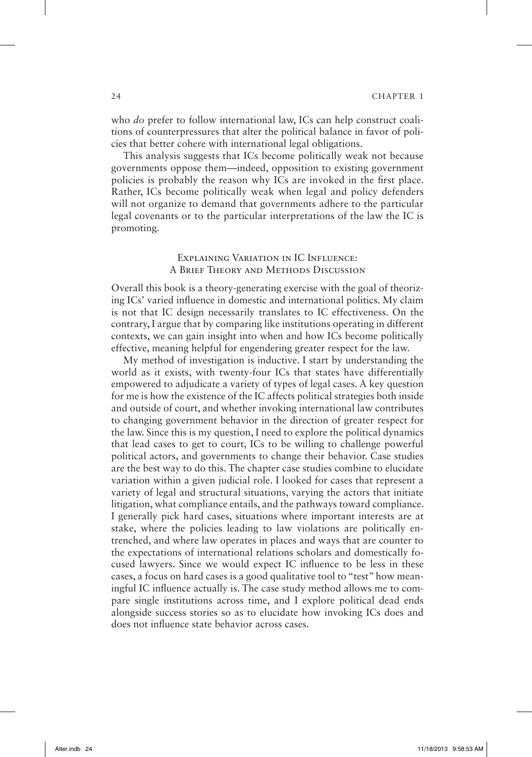who *do* prefer to follow international law, ICs can help construct coalitions of counterpressures that alter the political balance in favor of policies that better cohere with international legal obligations.

This analysis suggests that ICs become politically weak not because governments oppose them—indeed, opposition to existing government policies is probably the reason why ICs are invoked in the first place. Rather, ICs become politically weak when legal and policy defenders will not organize to demand that governments adhere to the particular legal covenants or to the particular interpretations of the law the IC is promoting.

### Explaining Variation in IC Influence: A Brief Theory and Methods Discussion

Overall this book is a theory-generating exercise with the goal of theorizing ICs' varied influence in domestic and international politics. My claim is not that IC design necessarily translates to IC effectiveness. On the contrary, I argue that by comparing like institutions operating in different contexts, we can gain insight into when and how ICs become politically effective, meaning helpful for engendering greater respect for the law.

My method of investigation is inductive. I start by understanding the world as it exists, with twenty-four ICs that states have differentially empowered to adjudicate a variety of types of legal cases. A key question for me is how the existence of the IC affects political strategies both inside and outside of court, and whether invoking international law contributes to changing government behavior in the direction of greater respect for the law. Since this is my question, I need to explore the political dynamics that lead cases to get to court, ICs to be willing to challenge powerful political actors, and governments to change their behavior. Case studies are the best way to do this. The chapter case studies combine to elucidate variation within a given judicial role. I looked for cases that represent a variety of legal and structural situations, varying the actors that initiate litigation, what compliance entails, and the pathways toward compliance. I generally pick hard cases, situations where important interests are at stake, where the policies leading to law violations are politically entrenched, and where law operates in places and ways that are counter to the expectations of international relations scholars and domestically focused lawyers. Since we would expect IC influence to be less in these cases, a focus on hard cases is a good qualitative tool to "test" how meaningful IC influence actually is. The case study method allows me to compare single institutions across time, and I explore political dead ends alongside success stories so as to elucidate how invoking ICs does and does not influence state behavior across cases.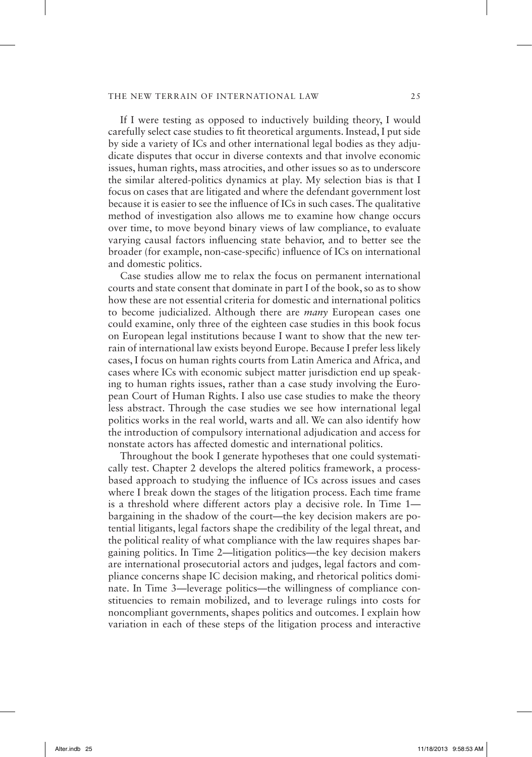#### THE NEW TERRAIN OF INTERNATIONAL LAW 25

If I were testing as opposed to inductively building theory, I would carefully select case studies to fit theoretical arguments. Instead, I put side by side a variety of ICs and other international legal bodies as they adjudicate disputes that occur in diverse contexts and that involve economic issues, human rights, mass atrocities, and other issues so as to underscore the similar altered-politics dynamics at play. My selection bias is that I focus on cases that are litigated and where the defendant government lost because it is easier to see the influence of ICs in such cases. The qualitative method of investigation also allows me to examine how change occurs over time, to move beyond binary views of law compliance, to evaluate varying causal factors influencing state behavior, and to better see the broader (for example, non-case-specific) influence of ICs on international and domestic politics.

Case studies allow me to relax the focus on permanent international courts and state consent that dominate in part I of the book, so as to show how these are not essential criteria for domestic and international politics to become judicialized. Although there are *many* European cases one could examine, only three of the eighteen case studies in this book focus on European legal institutions because I want to show that the new terrain of international law exists beyond Europe. Because I prefer less likely cases, I focus on human rights courts from Latin America and Africa, and cases where ICs with economic subject matter jurisdiction end up speaking to human rights issues, rather than a case study involving the European Court of Human Rights. I also use case studies to make the theory less abstract. Through the case studies we see how international legal politics works in the real world, warts and all. We can also identify how the introduction of compulsory international adjudication and access for nonstate actors has affected domestic and international politics.

Throughout the book I generate hypotheses that one could systematically test. Chapter 2 develops the altered politics framework, a processbased approach to studying the influence of ICs across issues and cases where I break down the stages of the litigation process. Each time frame is a threshold where different actors play a decisive role. In Time 1 bargaining in the shadow of the court—the key decision makers are potential litigants, legal factors shape the credibility of the legal threat, and the political reality of what compliance with the law requires shapes bargaining politics. In Time 2—litigation politics—the key decision makers are international prosecutorial actors and judges, legal factors and compliance concerns shape IC decision making, and rhetorical politics dominate. In Time 3—leverage politics—the willingness of compliance constituencies to remain mobilized, and to leverage rulings into costs for noncompliant governments, shapes politics and outcomes. I explain how variation in each of these steps of the litigation process and interactive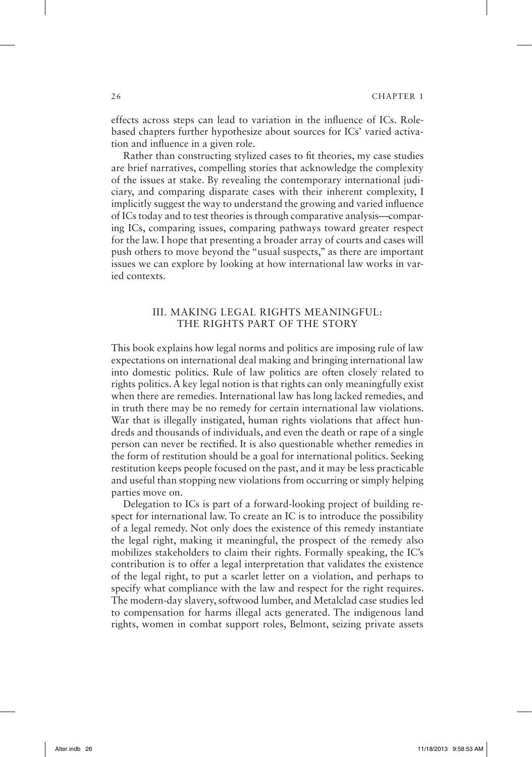effects across steps can lead to variation in the influence of ICs. Rolebased chapters further hypothesize about sources for ICs' varied activation and influence in a given role.

Rather than constructing stylized cases to fit theories, my case studies are brief narratives, compelling stories that acknowledge the complexity of the issues at stake. By revealing the contemporary international judiciary, and comparing disparate cases with their inherent complexity, I implicitly suggest the way to understand the growing and varied influence of ICs today and to test theories is through comparative analysis—comparing ICs, comparing issues, comparing pathways toward greater respect for the law. I hope that presenting a broader array of courts and cases will push others to move beyond the "usual suspects," as there are important issues we can explore by looking at how international law works in varied contexts.

## III. MAKING LEGAL RIGHTS MEANINGFUL: THE RIGHTS PART OF THE STORY

This book explains how legal norms and politics are imposing rule of law expectations on international deal making and bringing international law into domestic politics. Rule of law politics are often closely related to rights politics. A key legal notion is that rights can only meaningfully exist when there are remedies. International law has long lacked remedies, and in truth there may be no remedy for certain international law violations. War that is illegally instigated, human rights violations that affect hundreds and thousands of individuals, and even the death or rape of a single person can never be rectified. It is also questionable whether remedies in the form of restitution should be a goal for international politics. Seeking restitution keeps people focused on the past, and it may be less practicable and useful than stopping new violations from occurring or simply helping parties move on.

Delegation to ICs is part of a forward-looking project of building respect for international law. To create an IC is to introduce the possibility of a legal remedy. Not only does the existence of this remedy instantiate the legal right, making it meaningful, the prospect of the remedy also mobilizes stakeholders to claim their rights. Formally speaking, the IC's contribution is to offer a legal interpretation that validates the existence of the legal right, to put a scarlet letter on a violation, and perhaps to specify what compliance with the law and respect for the right requires. The modern-day slavery, softwood lumber, and Metalclad case studies led to compensation for harms illegal acts generated. The indigenous land rights, women in combat support roles, Belmont, seizing private assets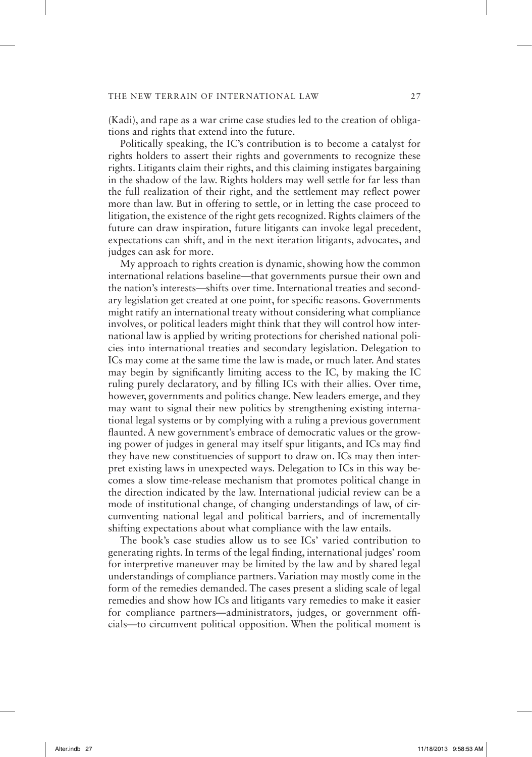(Kadi), and rape as a war crime case studies led to the creation of obligations and rights that extend into the future.

Politically speaking, the IC's contribution is to become a catalyst for rights holders to assert their rights and governments to recognize these rights. Litigants claim their rights, and this claiming instigates bargaining in the shadow of the law. Rights holders may well settle for far less than the full realization of their right, and the settlement may reflect power more than law. But in offering to settle, or in letting the case proceed to litigation, the existence of the right gets recognized. Rights claimers of the future can draw inspiration, future litigants can invoke legal precedent, expectations can shift, and in the next iteration litigants, advocates, and judges can ask for more.

My approach to rights creation is dynamic, showing how the common international relations baseline—that governments pursue their own and the nation's interests—shifts over time. International treaties and secondary legislation get created at one point, for specific reasons. Governments might ratify an international treaty without considering what compliance involves, or political leaders might think that they will control how international law is applied by writing protections for cherished national policies into international treaties and secondary legislation. Delegation to ICs may come at the same time the law is made, or much later. And states may begin by significantly limiting access to the IC, by making the IC ruling purely declaratory, and by filling ICs with their allies. Over time, however, governments and politics change. New leaders emerge, and they may want to signal their new politics by strengthening existing international legal systems or by complying with a ruling a previous government flaunted. A new government's embrace of democratic values or the growing power of judges in general may itself spur litigants, and ICs may find they have new constituencies of support to draw on. ICs may then interpret existing laws in unexpected ways. Delegation to ICs in this way becomes a slow time-release mechanism that promotes political change in the direction indicated by the law. International judicial review can be a mode of institutional change, of changing understandings of law, of circumventing national legal and political barriers, and of incrementally shifting expectations about what compliance with the law entails.

The book's case studies allow us to see ICs' varied contribution to generating rights. In terms of the legal finding, international judges' room for interpretive maneuver may be limited by the law and by shared legal understandings of compliance partners. Variation may mostly come in the form of the remedies demanded. The cases present a sliding scale of legal remedies and show how ICs and litigants vary remedies to make it easier for compliance partners—administrators, judges, or government officials—to circumvent political opposition. When the political moment is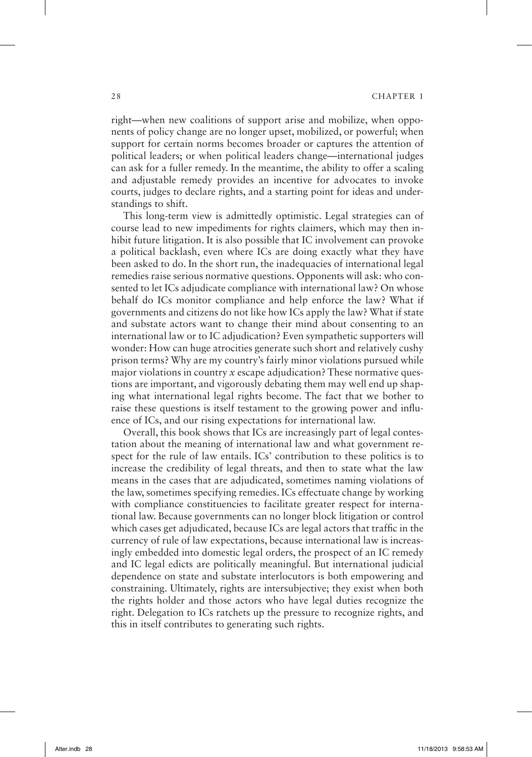right—when new coalitions of support arise and mobilize, when opponents of policy change are no longer upset, mobilized, or powerful; when support for certain norms becomes broader or captures the attention of political leaders; or when political leaders change—international judges can ask for a fuller remedy. In the meantime, the ability to offer a scaling and adjustable remedy provides an incentive for advocates to invoke courts, judges to declare rights, and a starting point for ideas and understandings to shift.

This long-term view is admittedly optimistic. Legal strategies can of course lead to new impediments for rights claimers, which may then inhibit future litigation. It is also possible that IC involvement can provoke a political backlash, even where ICs are doing exactly what they have been asked to do. In the short run, the inadequacies of international legal remedies raise serious normative questions. Opponents will ask: who consented to let ICs adjudicate compliance with international law? On whose behalf do ICs monitor compliance and help enforce the law? What if governments and citizens do not like how ICs apply the law? What if state and substate actors want to change their mind about consenting to an international law or to IC adjudication? Even sympathetic supporters will wonder: How can huge atrocities generate such short and relatively cushy prison terms? Why are my country's fairly minor violations pursued while major violations in country *x* escape adjudication? These normative questions are important, and vigorously debating them may well end up shaping what international legal rights become. The fact that we bother to raise these questions is itself testament to the growing power and influence of ICs, and our rising expectations for international law.

Overall, this book shows that ICs are increasingly part of legal contestation about the meaning of international law and what government respect for the rule of law entails. ICs' contribution to these politics is to increase the credibility of legal threats, and then to state what the law means in the cases that are adjudicated, sometimes naming violations of the law, sometimes specifying remedies. ICs effectuate change by working with compliance constituencies to facilitate greater respect for international law. Because governments can no longer block litigation or control which cases get adjudicated, because ICs are legal actors that traffic in the currency of rule of law expectations, because international law is increasingly embedded into domestic legal orders, the prospect of an IC remedy and IC legal edicts are politically meaningful. But international judicial dependence on state and substate interlocutors is both empowering and constraining. Ultimately, rights are intersubjective; they exist when both the rights holder and those actors who have legal duties recognize the right. Delegation to ICs ratchets up the pressure to recognize rights, and this in itself contributes to generating such rights.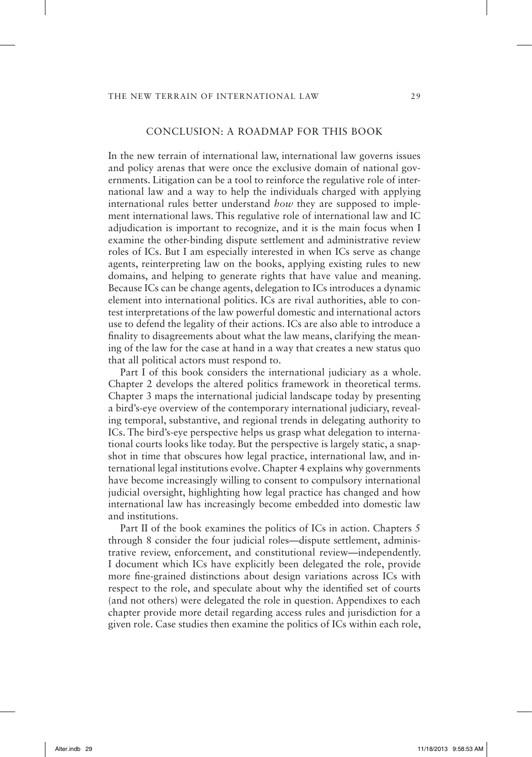#### CONCLUSION: A ROADMAP FOR THIS BOOK

In the new terrain of international law, international law governs issues and policy arenas that were once the exclusive domain of national governments. Litigation can be a tool to reinforce the regulative role of international law and a way to help the individuals charged with applying international rules better understand *how* they are supposed to implement international laws. This regulative role of international law and IC adjudication is important to recognize, and it is the main focus when I examine the other-binding dispute settlement and administrative review roles of ICs. But I am especially interested in when ICs serve as change agents, reinterpreting law on the books, applying existing rules to new domains, and helping to generate rights that have value and meaning. Because ICs can be change agents, delegation to ICs introduces a dynamic element into international politics. ICs are rival authorities, able to contest interpretations of the law powerful domestic and international actors use to defend the legality of their actions. ICs are also able to introduce a finality to disagreements about what the law means, clarifying the meaning of the law for the case at hand in a way that creates a new status quo that all political actors must respond to.

Part I of this book considers the international judiciary as a whole. Chapter 2 develops the altered politics framework in theoretical terms. Chapter 3 maps the international judicial landscape today by presenting a bird's-eye overview of the contemporary international judiciary, revealing temporal, substantive, and regional trends in delegating authority to ICs. The bird's-eye perspective helps us grasp what delegation to international courts looks like today. But the perspective is largely static, a snapshot in time that obscures how legal practice, international law, and international legal institutions evolve. Chapter 4 explains why governments have become increasingly willing to consent to compulsory international judicial oversight, highlighting how legal practice has changed and how international law has increasingly become embedded into domestic law and institutions.

Part II of the book examines the politics of ICs in action. Chapters 5 through 8 consider the four judicial roles—dispute settlement, administrative review, enforcement, and constitutional review—independently. I document which ICs have explicitly been delegated the role, provide more fine-grained distinctions about design variations across ICs with respect to the role, and speculate about why the identified set of courts (and not others) were delegated the role in question. Appendixes to each chapter provide more detail regarding access rules and jurisdiction for a given role. Case studies then examine the politics of ICs within each role,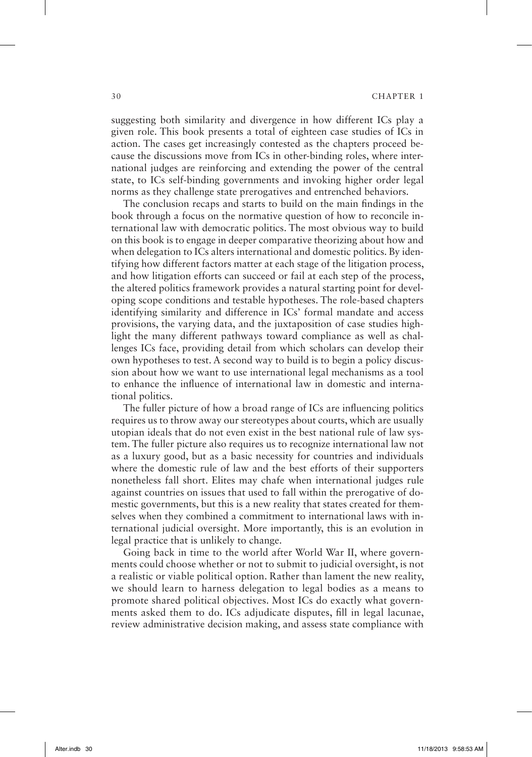suggesting both similarity and divergence in how different ICs play a given role. This book presents a total of eighteen case studies of ICs in action. The cases get increasingly contested as the chapters proceed because the discussions move from ICs in other-binding roles, where international judges are reinforcing and extending the power of the central state, to ICs self-binding governments and invoking higher order legal norms as they challenge state prerogatives and entrenched behaviors.

The conclusion recaps and starts to build on the main findings in the book through a focus on the normative question of how to reconcile international law with democratic politics. The most obvious way to build on this book is to engage in deeper comparative theorizing about how and when delegation to ICs alters international and domestic politics. By identifying how different factors matter at each stage of the litigation process, and how litigation efforts can succeed or fail at each step of the process, the altered politics framework provides a natural starting point for developing scope conditions and testable hypotheses. The role-based chapters identifying similarity and difference in ICs' formal mandate and access provisions, the varying data, and the juxtaposition of case studies highlight the many different pathways toward compliance as well as challenges ICs face, providing detail from which scholars can develop their own hypotheses to test. A second way to build is to begin a policy discussion about how we want to use international legal mechanisms as a tool to enhance the influence of international law in domestic and international politics.

The fuller picture of how a broad range of ICs are influencing politics requires us to throw away our stereotypes about courts, which are usually utopian ideals that do not even exist in the best national rule of law system. The fuller picture also requires us to recognize international law not as a luxury good, but as a basic necessity for countries and individuals where the domestic rule of law and the best efforts of their supporters nonetheless fall short. Elites may chafe when international judges rule against countries on issues that used to fall within the prerogative of domestic governments, but this is a new reality that states created for themselves when they combined a commitment to international laws with international judicial oversight. More importantly, this is an evolution in legal practice that is unlikely to change.

Going back in time to the world after World War II, where governments could choose whether or not to submit to judicial oversight, is not a realistic or viable political option. Rather than lament the new reality, we should learn to harness delegation to legal bodies as a means to promote shared political objectives. Most ICs do exactly what governments asked them to do. ICs adjudicate disputes, fill in legal lacunae, review administrative decision making, and assess state compliance with